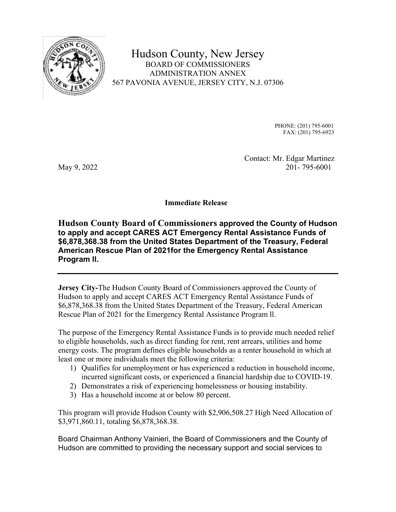

Hudson County, New Jersey BOARD OF COMMISSIONERS ADMINISTRATION ANNEX 567 PAVONIA AVENUE, JERSEY CITY, N.J. 07306

> PHONE: (201) 795-6001 FAX: (201) 795-6923

 Contact: Mr. Edgar Martinez May 9, 2022 201-795-6001

**Immediate Release** 

**Hudson County Board of Commissioners approved the County of Hudson to apply and accept CARES ACT Emergency Rental Assistance Funds of \$6,878,368.38 from the United States Department of the Treasury, Federal American Rescue Plan of 2021for the Emergency Rental Assistance Program ll.** 

**Jersey City-**The Hudson County Board of Commissioners approved the County of Hudson to apply and accept CARES ACT Emergency Rental Assistance Funds of \$6,878,368.38 from the United States Department of the Treasury, Federal American Rescue Plan of 2021 for the Emergency Rental Assistance Program ll.

The purpose of the Emergency Rental Assistance Funds is to provide much needed relief to eligible households, such as direct funding for rent, rent arrears, utilities and home energy costs. The program defines eligible households as a renter household in which at least one or more individuals meet the following criteria:

- 1) Qualifies for unemployment or has experienced a reduction in household income, incurred significant costs, or experienced a financial hardship due to COVID-19.
- 2) Demonstrates a risk of experiencing homelessness or housing instability.
- 3) Has a household income at or below 80 percent.

This program will provide Hudson County with \$2,906,508.27 High Need Allocation of \$3,971,860.11, totaling \$6,878,368.38.

Board Chairman Anthony Vainieri, the Board of Commissioners and the County of Hudson are committed to providing the necessary support and social services to